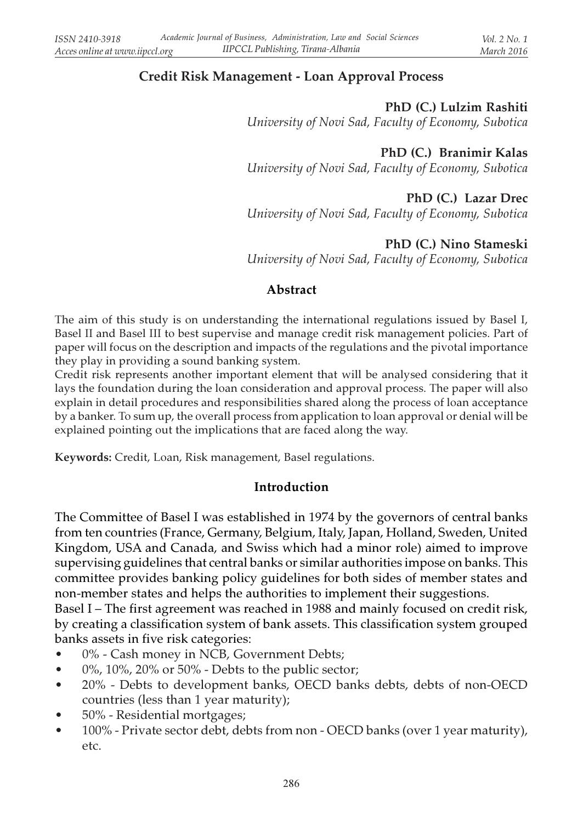# Credit Risk Management - Loan Approval Process

#### PhD (C.) Lulzim Rashiti

University of Novi Sad, Faculty of Economy, Subotica

PhD (C.) Branimir Kalas

University of Novi Sad, Faculty of Economy, Subotica

### PhD (C.) Lazar Drec

University of Novi Sad, Faculty of Economy, Subotica

### PhD (C.) Nino Stameski

University of Novi Sad, Faculty of Economy, Subotica

### Abstract

The aim of this study is on understanding the international regulations issued by Basel I, Basel II and Basel III to best supervise and manage credit risk management policies. Part of paper will focus on the description and impacts of the regulations and the pivotal importance they play in providing a sound banking system.

Credit risk represents another important element that will be analysed considering that it lays the foundation during the loan consideration and approval process. The paper will also explain in detail procedures and responsibilities shared along the process of loan acceptance by a banker. To sum up, the overall process from application to loan approval or denial will be explained pointing out the implications that are faced along the way.

Keywords: Credit, Loan, Risk management, Basel regulations.

#### Introduction

The Committee of Basel I was established in 1974 by the governors of central banks from ten countries (France, Germany, Belgium, Italy, Japan, Holland, Sweden, United Kingdom, USA and Canada, and Swiss which had a minor role) aimed to improve supervising guidelines that central banks or similar authorities impose on banks. This committee provides banking policy guidelines for both sides of member states and non-member states and helps the authorities to implement their suggestions.

Basel I – The first agreement was reached in 1988 and mainly focused on credit risk, by creating a classification system of bank assets. This classification system grouped banks assets in five risk categories:

- 0% Cash money in NCB, Government Debts;
- $\bullet$  0%, 10%, 20% or 50% Debts to the public sector;
- 20% Debts to development banks, OECD banks debts, debts of non-OECD countries (less than 1 year maturity);
- 50% Residential mortgages;
- 100% Private sector debt, debts from non OECD banks (over 1 year maturity), etc.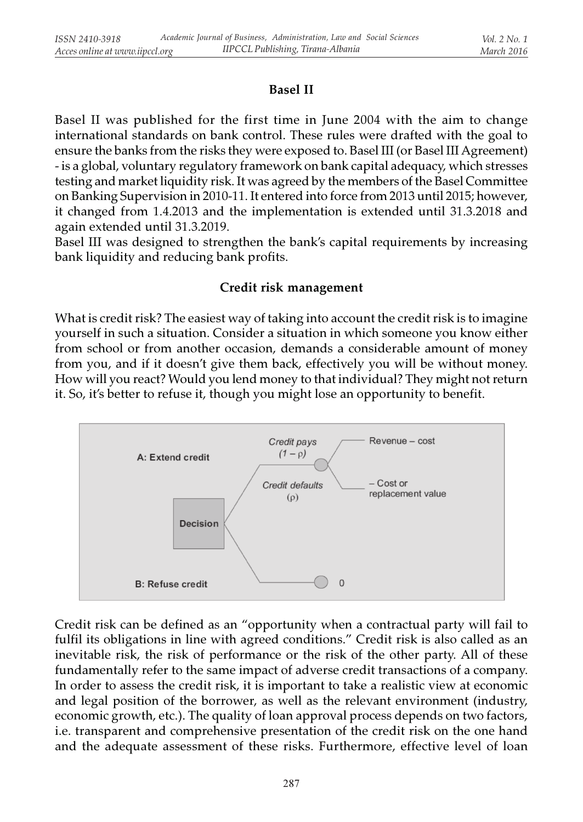### Basel II

Basel II was published for the first time in June 2004 with the aim to change international standards on bank control. These rules were drafted with the goal to ensure the banks from the risks they were exposed to. Basel III (or Basel III Agreement) - is a global, voluntary regulatory framework on bank capital adequacy, which stresses testing and market liquidity risk. It was agreed by the members of the Basel Committee on Banking Supervision in 2010-11. It entered into force from 2013 until 2015; however, it changed from 1.4.2013 and the implementation is extended until 31.3.2018 and again extended until 31.3.2019.

Basel III was designed to strengthen the bank's capital requirements by increasing bank liquidity and reducing bank profits.

### Credit risk management

What is credit risk? The easiest way of taking into account the credit risk is to imagine yourself in such a situation. Consider a situation in which someone you know either from school or from another occasion, demands a considerable amount of money from you, and if it doesn't give them back, effectively you will be without money. How will you react? Would you lend money to that individual? They might not return it. So, it's better to refuse it, though you might lose an opportunity to benefit.



Credit risk can be defined as an "opportunity when a contractual party will fail to fulfil its obligations in line with agreed conditions." Credit risk is also called as an inevitable risk, the risk of performance or the risk of the other party. All of these fundamentally refer to the same impact of adverse credit transactions of a company. In order to assess the credit risk, it is important to take a realistic view at economic and legal position of the borrower, as well as the relevant environment (industry, economic growth, etc.). The quality of loan approval process depends on two factors, i.e. transparent and comprehensive presentation of the credit risk on the one hand and the adequate assessment of these risks. Furthermore, effective level of loan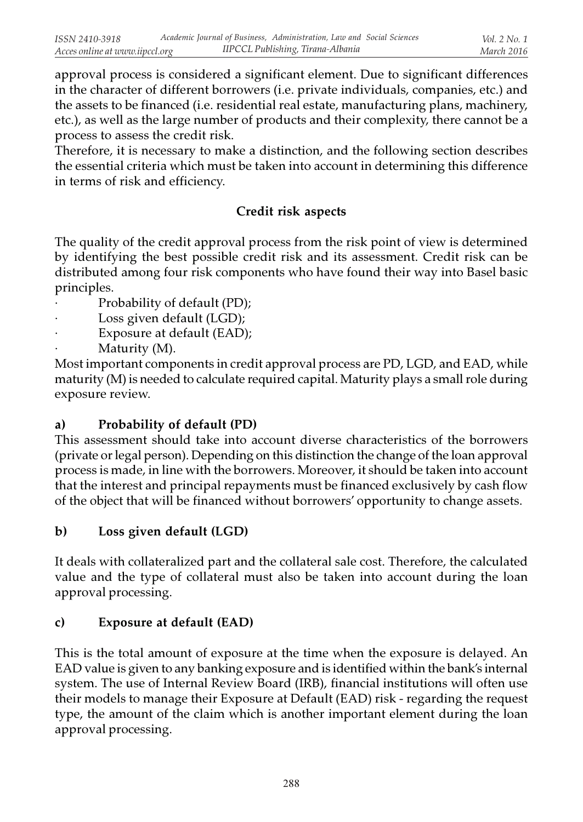approval process is considered a significant element. Due to significant differences in the character of different borrowers (i.e. private individuals, companies, etc.) and the assets to be financed (i.e. residential real estate, manufacturing plans, machinery, etc.), as well as the large number of products and their complexity, there cannot be a process to assess the credit risk.

Therefore, it is necessary to make a distinction, and the following section describes the essential criteria which must be taken into account in determining this difference in terms of risk and efficiency.

### Credit risk aspects

The quality of the credit approval process from the risk point of view is determined by identifying the best possible credit risk and its assessment. Credit risk can be distributed among four risk components who have found their way into Basel basic principles.

- Probability of default (PD);
- Loss given default (LGD);
- Exposure at default (EAD);
- Maturity (M).

Most important components in credit approval process are PD, LGD, and EAD, while maturity (M) is needed to calculate required capital. Maturity plays a small role during exposure review.

# a) Probability of default (PD)

This assessment should take into account diverse characteristics of the borrowers (private or legal person). Depending on this distinction the change of the loan approval process is made, in line with the borrowers. Moreover, it should be taken into account that the interest and principal repayments must be financed exclusively by cash flow of the object that will be financed without borrowers' opportunity to change assets.

# b) Loss given default (LGD)

It deals with collateralized part and the collateral sale cost. Therefore, the calculated value and the type of collateral must also be taken into account during the loan approval processing.

### c) Exposure at default (EAD)

This is the total amount of exposure at the time when the exposure is delayed. An EAD value is given to any banking exposure and is identified within the bank's internal system. The use of Internal Review Board (IRB), financial institutions will often use their models to manage their Exposure at Default (EAD) risk - regarding the request type, the amount of the claim which is another important element during the loan approval processing.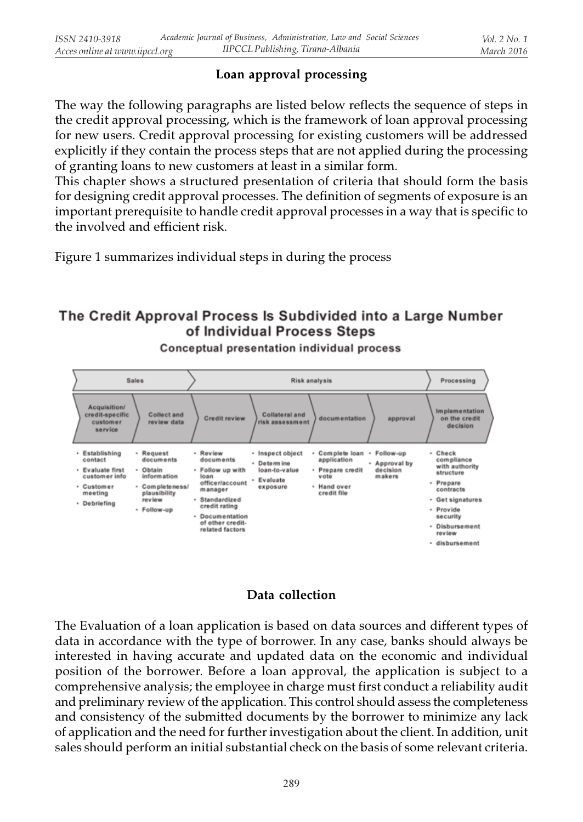# Loan approval processing

The way the following paragraphs are listed below reflects the sequence of steps in the credit approval processing, which is the framework of loan approval processing for new users. Credit approval processing for existing customers will be addressed explicitly if they contain the process steps that are not applied during the processing of granting loans to new customers at least in a similar form.

This chapter shows a structured presentation of criteria that should form the basis for designing credit approval processes. The definition of segments of exposure is an important prerequisite to handle credit approval processes in a way that is specific to the involved and efficient risk.

Figure 1 summarizes individual steps in during the process

# The Credit Approval Process Is Subdivided into a Large Number of Individual Process Steps



Conceptual presentation individual process

### Data collection

The Evaluation of a loan application is based on data sources and different types of data in accordance with the type of borrower. In any case, banks should always be interested in having accurate and updated data on the economic and individual position of the borrower. Before a loan approval, the application is subject to a comprehensive analysis; the employee in charge must first conduct a reliability audit and preliminary review of the application. This control should assess the completeness and consistency of the submitted documents by the borrower to minimize any lack of application and the need for further investigation about the client. In addition, unit sales should perform an initial substantial check on the basis of some relevant criteria.